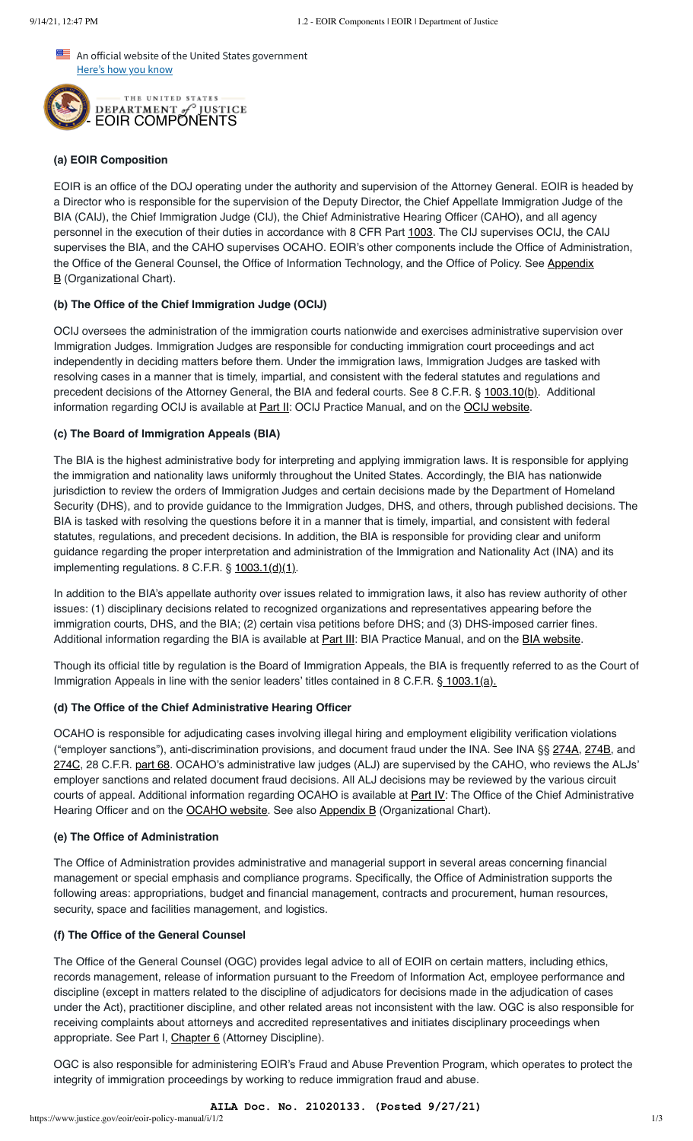An official website of the United States government Here's how you know



# **(a) EOIR Composition**

EOIR is an office of the DOJ operating under the authority and supervision of the Attorney General. EOIR is headed by a Director who is responsible for the supervision of the Deputy Director, the Chief Appellate Immigration Judge of the BIA (CAIJ), the Chief Immigration Judge (CIJ), the Chief Administrative Hearing Officer (CAHO), and all agency personnel in the execution of their duties in accordance with 8 CFR Part [1003](https://www.ecfr.gov/cgi-bin/retrieveECFR?gp=&SID=b169d1eeddd9cbb92f7ced6442f9d4a9&mc=true&n=pt8.1.1003&r=PART&ty=HTML). The CIJ supervises OCIJ, the CAIJ supervises the BIA, and the CAHO supervises OCAHO. EOIR's other components include the Office of Administration, [the Office of the General Counsel, the Office of Information Technology, and the Office of Policy. See Appendix](https://www.justice.gov/eoir/eoir-policy-manual/VIIII/B) **B** (Organizational Chart).

## **(b) The Office of the Chief Immigration Judge (OCIJ)**

OCIJ oversees the administration of the immigration courts nationwide and exercises administrative supervision over Immigration Judges. Immigration Judges are responsible for conducting immigration court proceedings and act independently in deciding matters before them. Under the immigration laws, Immigration Judges are tasked with resolving cases in a manner that is timely, impartial, and consistent with the federal statutes and regulations and precedent decisions of the Attorney General, the BIA and federal courts. See 8 C.F.R. § [1003.10\(b\).](https://www.ecfr.gov/cgi-bin/text-idx?SID=3ec4d8d2757f042497d189fa40b40488&mc=true&node=se8.1.1003_110&rgn=div8) Additional information regarding OCIJ is available at **Part II:** OCIJ Practice Manual, and on the **OCIJ website**.

## **(c) The Board of Immigration Appeals (BIA)**

The BIA is the highest administrative body for interpreting and applying immigration laws. It is responsible for applying the immigration and nationality laws uniformly throughout the United States. Accordingly, the BIA has nationwide jurisdiction to review the orders of Immigration Judges and certain decisions made by the Department of Homeland Security (DHS), and to provide guidance to the Immigration Judges, DHS, and others, through published decisions. The BIA is tasked with resolving the questions before it in a manner that is timely, impartial, and consistent with federal statutes, regulations, and precedent decisions. In addition, the BIA is responsible for providing clear and uniform guidance regarding the proper interpretation and administration of the Immigration and Nationality Act (INA) and its implementing regulations. 8 C.F.R. § [1003.1\(d\)\(1\)](https://www.ecfr.gov/cgi-bin/text-idx?SID=deb0254475058d7c9249d3d478329758&mc=true&node=se8.1.1003_11&rgn=div8).

In addition to the BIA's appellate authority over issues related to immigration laws, it also has review authority of other issues: (1) disciplinary decisions related to recognized organizations and representatives appearing before the immigration courts, DHS, and the BIA; (2) certain visa petitions before DHS; and (3) DHS-imposed carrier fines. Additional information regarding the BIA is available at **[Part III](https://www.justice.gov/eoir/eoir-policy-manual/iii)**: BIA Practice Manual, and on the [BIA website.](https://www.justice.gov/eoir/board-of-immigration-appeals)

Though its official title by regulation is the Board of Immigration Appeals, the BIA is frequently referred to as the Court of Immigration Appeals in line with the senior leaders' titles contained in 8 C.F.R. [§ 1003.1\(a\).](https://www.ecfr.gov/cgi-bin/text-idx?SID=f8124ec2ddcdf4ee9febd5133158968f&mc=true&node=pt8.1.1003&rgn=div5#se8.1.1003_11)

## **(d) The Office of the Chief Administrative Hearing Officer**

OCAHO is responsible for adjudicating cases involving illegal hiring and employment eligibility verification violations ("employer sanctions"), anti-discrimination provisions, and document fraud under the INA. See INA §§ [274A](https://uscode.house.gov/view.xhtml?req=(title:8%20section:1324a%20edition:prelim)%20OR%20(granuleid:USC-prelim-title8-section1324a)&f=treesort&edition=prelim&num=0&jumpTo=true), [274B](https://uscode.house.gov/view.xhtml?req=(title:8%20section:1324b%20edition:prelim)%20OR%20(granuleid:USC-prelim-title8-section1324b)&f=treesort&edition=prelim&num=0&jumpTo=true), and [274C,](https://uscode.house.gov/view.xhtml?req=(title:8%20section:1324c%20edition:prelim)%20OR%20(granuleid:USC-prelim-title8-section1324c)&f=treesort&edition=prelim&num=0&jumpTo=true) 28 C.F.R. [part 68](https://www.ecfr.gov/cgi-bin/text-idx?SID=484eaccd5700ddb88624aedc4efd8ad5&mc=true&node=pt28.2.68&rgn=div5). OCAHO's administrative law judges (ALJ) are supervised by the CAHO, who reviews the ALJs' employer sanctions and related document fraud decisions. All ALJ decisions may be reviewed by the various circuit courts of appeal. Additional information regarding OCAHO is available at [Part IV](https://www.justice.gov/eoir/eoir-policy-manual/part-iv-ocaho-practice-manual): The Office of the Chief Administrative Hearing Officer and on the [OCAHO website](https://www.justice.gov/eoir/office-of-the-chief-administrative-hearing-officer). See also [Appendix B](https://www.justice.gov/eoir/eoir-policy-manual/VIIII/B) (Organizational Chart).

# **(e) The Office of Administration**

The Office of Administration provides administrative and managerial support in several areas concerning financial management or special emphasis and compliance programs. Specifically, the Office of Administration supports the following areas: appropriations, budget and financial management, contracts and procurement, human resources, security, space and facilities management, and logistics.

## **(f) The Office of the General Counsel**

The Office of the General Counsel (OGC) provides legal advice to all of EOIR on certain matters, including ethics, records management, release of information pursuant to the Freedom of Information Act, employee performance and discipline (except in matters related to the discipline of adjudicators for decisions made in the adjudication of cases under the Act), practitioner discipline, and other related areas not inconsistent with the law. OGC is also responsible for receiving complaints about attorneys and accredited representatives and initiates disciplinary proceedings when appropriate. See Part I, [Chapter 6](https://www.justice.gov/eoir/eoir-policy-manual/i/6) (Attorney Discipline).

OGC is also responsible for administering EOIR's Fraud and Abuse Prevention Program, which operates to protect the integrity of immigration proceedings by working to reduce immigration fraud and abuse.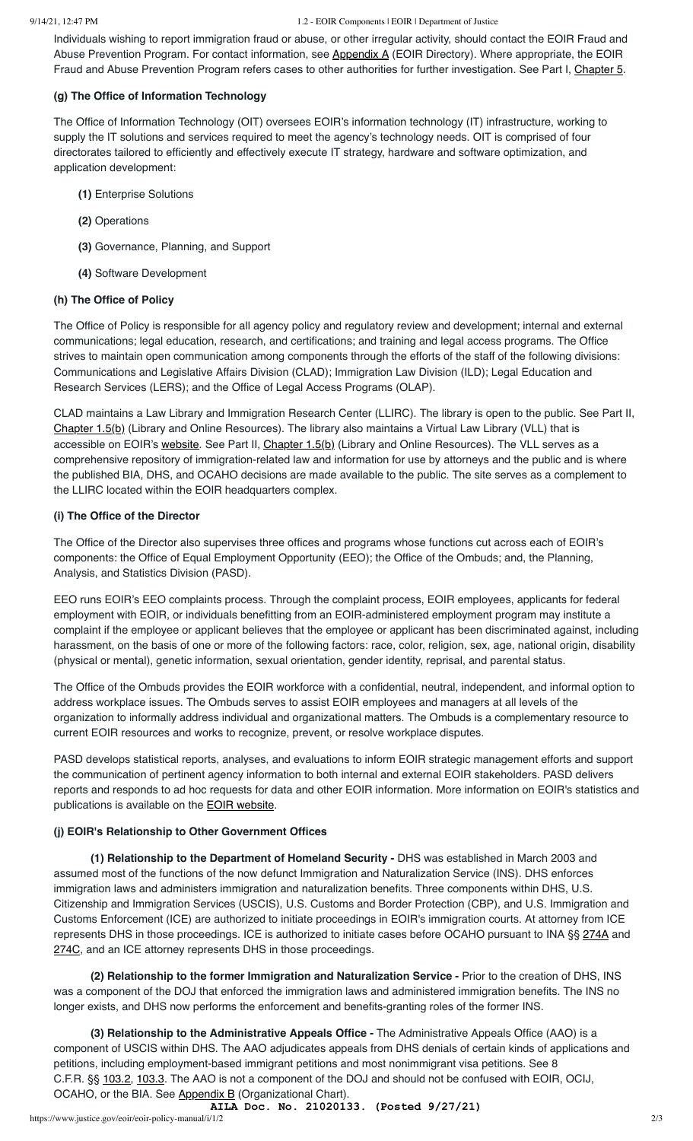Individuals wishing to report immigration fraud or abuse, or other irregular activity, should contact the EOIR Fraud and Abuse Prevention Program. For contact information, see [Appendix A](https://www.justice.gov/eoir/eoir-policy-manual/VIIII/A) (EOIR Directory). Where appropriate, the EOIR Fraud and Abuse Prevention Program refers cases to other authorities for further investigation. See Part I, [Chapter 5](https://www.justice.gov/eoir/eoir-policy-manual/i/5).

## **(g) The Office of Information Technology**

The Office of Information Technology (OIT) oversees EOIR's information technology (IT) infrastructure, working to supply the IT solutions and services required to meet the agency's technology needs. OIT is comprised of four directorates tailored to efficiently and effectively execute IT strategy, hardware and software optimization, and application development:

- **(1)** Enterprise Solutions
- **(2)** Operations
- **(3)** Governance, Planning, and Support
- **(4)** Software Development

## **(h) The Office of Policy**

The Office of Policy is responsible for all agency policy and regulatory review and development; internal and external communications; legal education, research, and certifications; and training and legal access programs. The Office strives to maintain open communication among components through the efforts of the staff of the following divisions: Communications and Legislative Affairs Division (CLAD); Immigration Law Division (ILD); Legal Education and Research Services (LERS); and the Office of Legal Access Programs (OLAP).

CLAD maintains a Law Library and Immigration Research Center (LLIRC). The library is open to the public. See Part II, [Chapter 1.5\(b\)](https://www.justice.gov/eoir/eoir-policy-manual/ii/1/5) (Library and Online Resources). The library also maintains a Virtual Law Library (VLL) that is accessible on EOIR's [website.](https://www.justice.gov/eoir/virtual-law-library) See Part II, [Chapter 1.5\(b\)](https://www.justice.gov/eoir/eoir-policy-manual/ii/1/5) (Library and Online Resources). The VLL serves as a comprehensive repository of immigration-related law and information for use by attorneys and the public and is where the published BIA, DHS, and OCAHO decisions are made available to the public. The site serves as a complement to the LLIRC located within the EOIR headquarters complex.

## **(i) The Office of the Director**

The Office of the Director also supervises three offices and programs whose functions cut across each of EOIR's components: the Office of Equal Employment Opportunity (EEO); the Office of the Ombuds; and, the Planning, Analysis, and Statistics Division (PASD).

EEO runs EOIR's EEO complaints process. Through the complaint process, EOIR employees, applicants for federal employment with EOIR, or individuals benefitting from an EOIR-administered employment program may institute a complaint if the employee or applicant believes that the employee or applicant has been discriminated against, including harassment, on the basis of one or more of the following factors: race, color, religion, sex, age, national origin, disability (physical or mental), genetic information, sexual orientation, gender identity, reprisal, and parental status.

The Office of the Ombuds provides the EOIR workforce with a confidential, neutral, independent, and informal option to address workplace issues. The Ombuds serves to assist EOIR employees and managers at all levels of the organization to informally address individual and organizational matters. The Ombuds is a complementary resource to current EOIR resources and works to recognize, prevent, or resolve workplace disputes.

PASD develops statistical reports, analyses, and evaluations to inform EOIR strategic management efforts and support the communication of pertinent agency information to both internal and external EOIR stakeholders. PASD delivers reports and responds to ad hoc requests for data and other EOIR information. More information on EOIR's statistics and publications is available on the **[EOIR website](https://www.justice.gov/eoir/statistics-and-reports)**.

#### **(j) EOIR's Relationship to Other Government Offices**

 **(1) Relationship to the Department of Homeland Security -** DHS was established in March 2003 and assumed most of the functions of the now defunct Immigration and Naturalization Service (INS). DHS enforces immigration laws and administers immigration and naturalization benefits. Three components within DHS, U.S. Citizenship and Immigration Services (USCIS), U.S. Customs and Border Protection (CBP), and U.S. Immigration and Customs Enforcement (ICE) are authorized to initiate proceedings in EOIR's immigration courts. At attorney from ICE represents DHS in those proceedings. ICE is authorized to initiate cases before OCAHO pursuant to INA §§ [274A](https://uscode.house.gov/view.xhtml?req=(title:8%20section:1324a%20edition:prelim)%20OR%20(granuleid:USC-prelim-title8-section1324a)&f=treesort&edition=prelim&num=0&jumpTo=true) and [274C,](https://uscode.house.gov/view.xhtml?hl=false&edition=prelim&req=granuleid%3AUSC-prelim-title8-section1324c&f=treesort&num=0&saved=%7CKHRpdGxlOjggc2VjdGlvbjoxMzI0YSBlZGl0aW9uOnByZWxpbSkgT1IgKGdyYW51bGVpZDpVU0MtcHJlbGltLXRpdGxlOC1zZWN0aW9uMTMyNGEp%7CdHJlZXNvcnQ%3D%7C%7C0%7Cfalse%7Cprelim) and an ICE attorney represents DHS in those proceedings.

 **(2) Relationship to the former Immigration and Naturalization Service -** Prior to the creation of DHS, INS was a component of the DOJ that enforced the immigration laws and administered immigration benefits. The INS no longer exists, and DHS now performs the enforcement and benefits-granting roles of the former INS.

 **(3) Relationship to the Administrative Appeals Office -** The Administrative Appeals Office (AAO) is a component of USCIS within DHS. The AAO adjudicates appeals from DHS denials of certain kinds of applications and petitions, including employment-based immigrant petitions and most nonimmigrant visa petitions. See 8 C.F.R. §§ [103.2](https://www.ecfr.gov/cgi-bin/text-idx?SID=f1314e0058ea6db6e990f8ee98f5b9bd&mc=true&node=pt8.1.103&rgn=div5#se8.1.103_12), [103.3](https://www.ecfr.gov/cgi-bin/text-idx?SID=f1314e0058ea6db6e990f8ee98f5b9bd&mc=true&node=pt8.1.103&rgn=div5#se8.1.103_13). The AAO is not a component of the DOJ and should not be confused with EOIR, OCIJ, OCAHO, or the BIA. See [Appendix B](https://www.justice.gov/eoir/eoir-policy-manual/VIIII/B) (Organizational Chart).

https://www.justice.gov/eoir/eoir-policy-manual/i/1/2 2/3 **AILA Doc. No. 21020133. (Posted 9/27/21)**